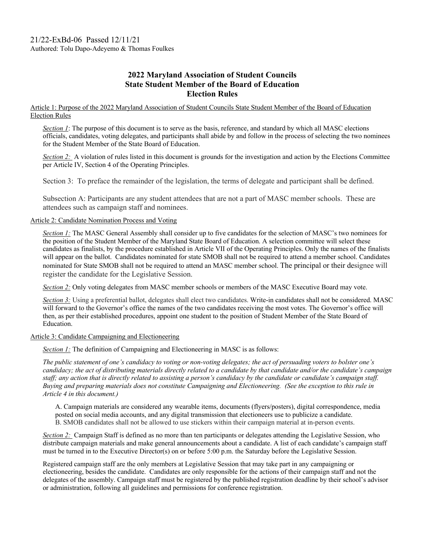## **2022 Maryland Association of Student Councils State Student Member of the Board of Education Election Rules**

Article 1: Purpose of the 2022 Maryland Association of Student Councils State Student Member of the Board of Education Election Rules

*Section 1*: The purpose of this document is to serve as the basis, reference, and standard by which all MASC elections officials, candidates, voting delegates, and participants shall abide by and follow in the process of selecting the two nominees for the Student Member of the State Board of Education.

*Section 2:* A violation of rules listed in this document is grounds for the investigation and action by the Elections Committee per Article IV, Section 4 of the Operating Principles.

Section 3: To preface the remainder of the legislation, the terms of delegate and participant shall be defined.

Subsection A: Participants are any student attendees that are not a part of MASC member schools. These are attendees such as campaign staff and nominees.

## Article 2: Candidate Nomination Process and Voting

*Section 1:* The MASC General Assembly shall consider up to five candidates for the selection of MASC's two nominees for the position of the Student Member of the Maryland State Board of Education. A selection committee will select these candidates as finalists, by the procedure established in Article VII of the Operating Principles. Only the names of the finalists will appear on the ballot. Candidates nominated for state SMOB shall not be required to attend a member school. Candidates nominated for State SMOB shall not be required to attend an MASC member school. The principal or their designee will register the candidate for the Legislative Session.

*Section 2:* Only voting delegates from MASC member schools or members of the MASC Executive Board may vote.

*Section 3:* Using a preferential ballot, delegates shall elect two candidates. Write-in candidates shall not be considered. MASC will forward to the Governor's office the names of the two candidates receiving the most votes. The Governor's office will then, as per their established procedures, appoint one student to the position of Student Member of the State Board of Education.

Article 3: Candidate Campaigning and Electioneering

*Section 1:* The definition of Campaigning and Electioneering in MASC is as follows:

*The public statement of one's candidacy to voting or non-voting delegates; the act of persuading voters to bolster one's candidacy; the act of distributing materials directly related to a candidate by that candidate and/or the candidate's campaign staff; any action that is directly related to assisting a person's candidacy by the candidate or candidate's campaign staff. Buying and preparing materials does not constitute Campaigning and Electioneering. (See the exception to this rule in Article 4 in this document.)*

A. Campaign materials are considered any wearable items, documents (flyers/posters), digital correspondence, media posted on social media accounts, and any digital transmission that electioneers use to publicize a candidate. B. SMOB candidates shall not be allowed to use stickers within their campaign material at in-person events.

*Section 2:* Campaign Staff is defined as no more than ten participants or delegates attending the Legislative Session, who distribute campaign materials and make general announcements about a candidate. A list of each candidate's campaign staff must be turned in to the Executive Director(s) on or before 5:00 p.m. the Saturday before the Legislative Session.

Registered campaign staff are the only members at Legislative Session that may take part in any campaigning or electioneering, besides the candidate. Candidates are only responsible for the actions of their campaign staff and not the delegates of the assembly. Campaign staff must be registered by the published registration deadline by their school's advisor or administration, following all guidelines and permissions for conference registration.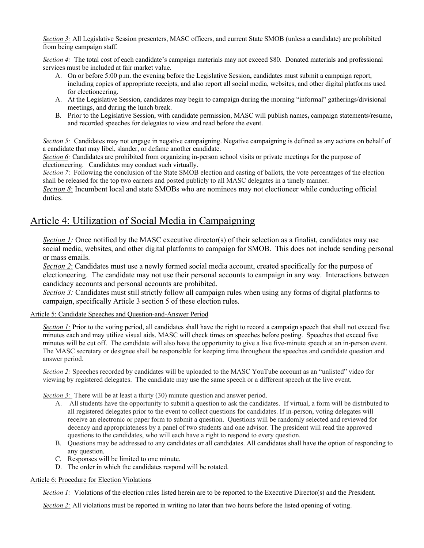*Section 3:* All Legislative Session presenters, MASC officers, and current State SMOB (unless a candidate) are prohibited from being campaign staff.

*Section 4:* The total cost of each candidate's campaign materials may not exceed \$80. Donated materials and professional services must be included at fair market value.

- A. On or before 5:00 p.m. the evening before the Legislative Session**,** candidates must submit a campaign report, including copies of appropriate receipts, and also report all social media, websites, and other digital platforms used for electioneering.
- A. At the Legislative Session, candidates may begin to campaign during the morning "informal" gatherings/divisional meetings, and during the lunch break.
- B. Prior to the Legislative Session, with candidate permission, MASC will publish names**,** campaign statements/resume**,**  and recorded speeches for delegates to view and read before the event.

*Section 5:* Candidates may not engage in negative campaigning. Negative campaigning is defined as any actions on behalf of a candidate that may libel, slander, or defame another candidate.

*Section 6:* Candidates are prohibited from organizing in-person school visits or private meetings for the purpose of electioneering. Candidates may conduct such virtually.

*Section 7*: Following the conclusion of the State SMOB election and casting of ballots, the vote percentages of the election shall be released for the top two earners and posted publicly to all MASC delegates in a timely manner.

*Section 8*: Incumbent local and state SMOBs who are nominees may not electioneer while conducting official duties.

## Article 4: Utilization of Social Media in Campaigning

*Section 1:* Once notified by the MASC executive director(s) of their selection as a finalist, candidates may use social media, websites, and other digital platforms to campaign for SMOB. This does not include sending personal or mass emails.

*Section 2*: Candidates must use a newly formed social media account, created specifically for the purpose of electioneering. The candidate may not use their personal accounts to campaign in any way. Interactions between candidacy accounts and personal accounts are prohibited.

*Section 3:* Candidates must still strictly follow all campaign rules when using any forms of digital platforms to campaign, specifically Article 3 section 5 of these election rules.

Article 5: Candidate Speeches and Question-and-Answer Period

*Section 1:* Prior to the voting period, all candidates shall have the right to record a campaign speech that shall not exceed five minutes each and may utilize visual aids. MASC will check times on speeches before posting. Speeches that exceed five minutes will be cut off. The candidate will also have the opportunity to give a live five-minute speech at an in-person event. The MASC secretary or designee shall be responsible for keeping time throughout the speeches and candidate question and answer period.

*Section 2:* Speeches recorded by candidates will be uploaded to the MASC YouTube account as an "unlisted" video for viewing by registered delegates. The candidate may use the same speech or a different speech at the live event.

*Section 3:* There will be at least a thirty (30) minute question and answer period.

- A. All students have the opportunity to submit a question to ask the candidates. If virtual, a form will be distributed to all registered delegates prior to the event to collect questions for candidates. If in-person, voting delegates will receive an electronic or paper form to submit a question. Questions will be randomly selected and reviewed for decency and appropriateness by a panel of two students and one advisor. The president will read the approved questions to the candidates, who will each have a right to respond to every question.
- B. Questions may be addressed to any candidates or all candidates. All candidates shall have the option of responding to any question.
- C. Responses will be limited to one minute.
- D. The order in which the candidates respond will be rotated.

## Article 6: Procedure for Election Violations

*Section 1:* Violations of the election rules listed herein are to be reported to the Executive Director(s) and the President.

*Section 2:* All violations must be reported in writing no later than two hours before the listed opening of voting.